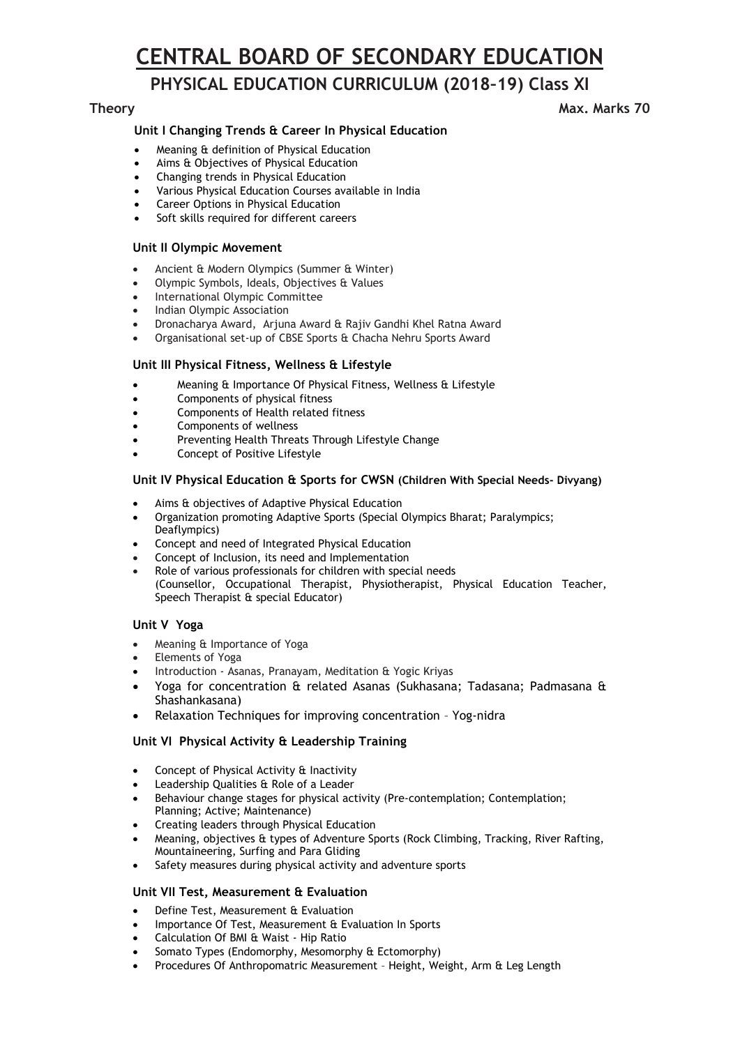# **CENTRAL BOARD OF SECONDARY EDUCATION**

## **PHYSICAL EDUCATION CURRICULUM (2018–19) Class XI**

## **Theory Max.** Marks 70

## **Unit I Changing Trends & Career In Physical Education**

- Meaning & definition of Physical Education
- Aims & Objectives of Physical Education
- Changing trends in Physical Education
- Various Physical Education Courses available in India
- Career Options in Physical Education
- Soft skills required for different careers

## **Unit II Olympic Movement**

- Ancient & Modern Olympics (Summer & Winter)
- Olympic Symbols, Ideals, Objectives & Values
- International Olympic Committee
- Indian Olympic Association
- Dronacharya Award, Arjuna Award & Rajiv Gandhi Khel Ratna Award
- Organisational set-up of CBSE Sports & Chacha Nehru Sports Award

## **Unit III Physical Fitness, Wellness & Lifestyle**

- Meaning & Importance Of Physical Fitness, Wellness & Lifestyle
- Components of physical fitness
- Components of Health related fitness
- Components of wellness
- Preventing Health Threats Through Lifestyle Change
- Concept of Positive Lifestyle

## **Unit IV Physical Education & Sports for CWSN (Children With Special Needs- Divyang)**

- Aims & objectives of Adaptive Physical Education
- Organization promoting Adaptive Sports (Special Olympics Bharat; Paralympics; Deaflympics)
- Concept and need of Integrated Physical Education
- Concept of Inclusion, its need and Implementation
- Role of various professionals for children with special needs (Counsellor, Occupational Therapist, Physiotherapist, Physical Education Teacher, Speech Therapist & special Educator)

## **Unit V Yoga**

- Meaning & Importance of Yoga
- Elements of Yoga
- Introduction Asanas, Pranayam, Meditation & Yogic Kriyas
- Yoga for concentration & related Asanas (Sukhasana; Tadasana; Padmasana & Shashankasana)
- Relaxation Techniques for improving concentration Yog-nidra

## **Unit VI Physical Activity & Leadership Training**

- Concept of Physical Activity & Inactivity
- Leadership Qualities & Role of a Leader
- Behaviour change stages for physical activity (Pre-contemplation; Contemplation; Planning; Active; Maintenance)
- Creating leaders through Physical Education
- Meaning, objectives & types of Adventure Sports (Rock Climbing, Tracking, River Rafting, Mountaineering, Surfing and Para Gliding
- Safety measures during physical activity and adventure sports

## **Unit VII Test, Measurement & Evaluation**

- Define Test, Measurement & Evaluation
- Importance Of Test, Measurement & Evaluation In Sports
- Calculation Of BMI & Waist Hip Ratio
- Somato Types (Endomorphy, Mesomorphy & Ectomorphy)
- Procedures Of Anthropomatric Measurement Height, Weight, Arm & Leg Length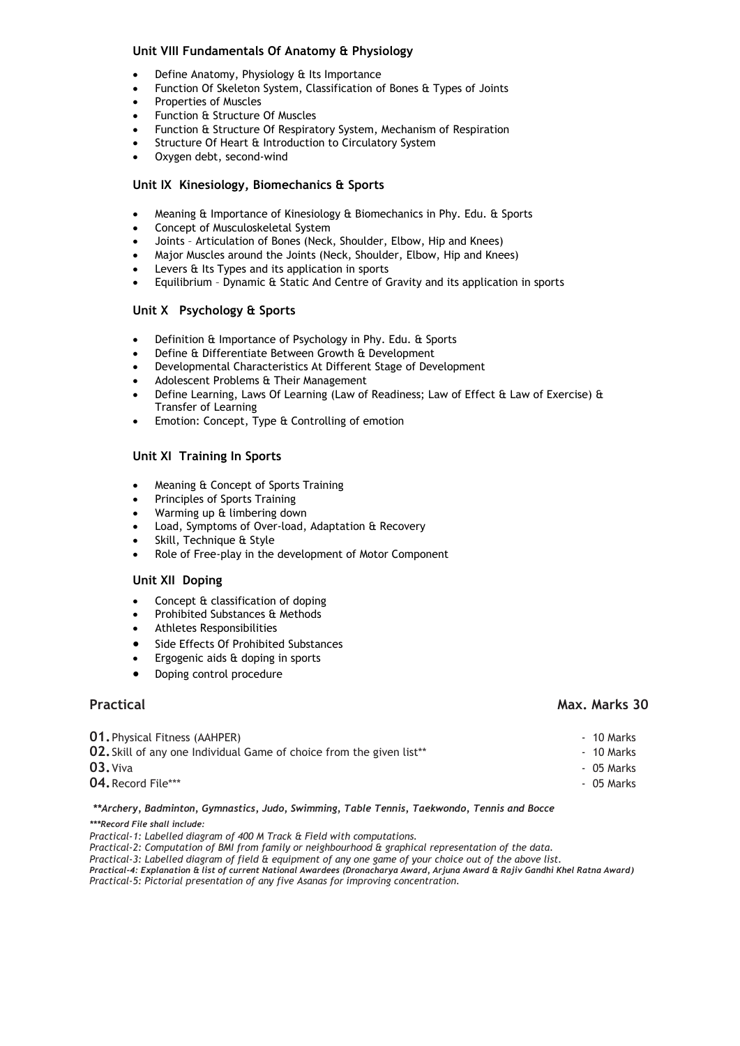## **Unit VIII Fundamentals Of Anatomy & Physiology**

- Define Anatomy, Physiology & Its Importance
- Function Of Skeleton System, Classification of Bones & Types of Joints
- Properties of Muscles
- Function & Structure Of Muscles
- Function & Structure Of Respiratory System, Mechanism of Respiration
- Structure Of Heart & Introduction to Circulatory System
- Oxygen debt, second-wind

## **Unit IX Kinesiology, Biomechanics & Sports**

- Meaning & Importance of Kinesiology & Biomechanics in Phy. Edu. & Sports
- Concept of Musculoskeletal System
- Joints Articulation of Bones (Neck, Shoulder, Elbow, Hip and Knees)
- Major Muscles around the Joints (Neck, Shoulder, Elbow, Hip and Knees)
- Levers & Its Types and its application in sports
- Equilibrium Dynamic & Static And Centre of Gravity and its application in sports

## **Unit X Psychology & Sports**

- Definition & Importance of Psychology in Phy. Edu. & Sports
- Define & Differentiate Between Growth & Development
- Developmental Characteristics At Different Stage of Development
- Adolescent Problems & Their Management
- Define Learning, Laws Of Learning (Law of Readiness; Law of Effect & Law of Exercise) & Transfer of Learning
- Emotion: Concept, Type & Controlling of emotion

## **Unit XI Training In Sports**

- Meaning & Concept of Sports Training
- Principles of Sports Training
- Warming up & limbering down
- Load, Symptoms of Over-load, Adaptation & Recovery
- Skill, Technique & Style
- Role of Free-play in the development of Motor Component

## **Unit XII Doping**

- Concept & classification of doping
- Prohibited Substances & Methods
- Athletes Responsibilities
- Side Effects Of Prohibited Substances
- Ergogenic aids & doping in sports
- Doping control procedure

## **01.** Physical Fitness (AAHPER) - 10 Marks **02.** Skill of any one Individual Game of choice from the given list\*\* The state of the state of the Marks **03.** Viva **1988** - 05 Marks **04.** Record File\*\*\* - 05 Marks

*\*\*Archery, Badminton, Gymnastics, Judo, Swimming, Table Tennis, Taekwondo, Tennis and Bocce \*\*\*Record File shall include:*

*Practical-1: Labelled diagram of 400 M Track & Field with computations.* 

*Practical-2: Computation of BMI from family or neighbourhood & graphical representation of the data.* 

*Practical-3: Labelled diagram of field & equipment of any one game of your choice out of the above list.* 

*Practical-4: Explanation & list of current National Awardees (Dronacharya Award, Arjuna Award & Rajiv Gandhi Khel Ratna Award) Practical-5: Pictorial presentation of any five Asanas for improving concentration.*

## **Practical Max. Marks 30**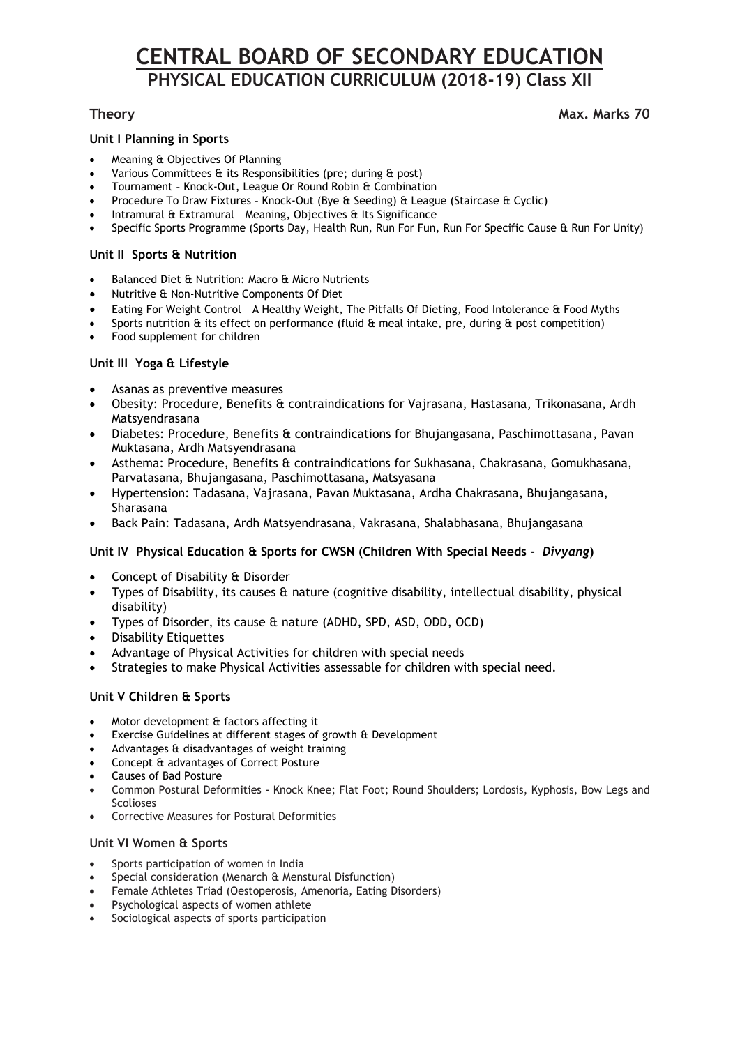# **CENTRAL BOARD OF SECONDARY EDUCATION PHYSICAL EDUCATION CURRICULUM (2018-19) Class XII**

## **Theory** Max. Marks 70

## **Unit I Planning in Sports**

- Meaning & Objectives Of Planning
- Various Committees & its Responsibilities (pre; during & post)
- Tournament Knock-Out, League Or Round Robin & Combination
- Procedure To Draw Fixtures Knock-Out (Bye & Seeding) & League (Staircase & Cyclic)
- Intramural & Extramural Meaning, Objectives & Its Significance
- Specific Sports Programme (Sports Day, Health Run, Run For Fun, Run For Specific Cause & Run For Unity)

## **Unit II Sports & Nutrition**

- Balanced Diet & Nutrition: Macro & Micro Nutrients
- Nutritive & Non-Nutritive Components Of Diet
- Eating For Weight Control A Healthy Weight, The Pitfalls Of Dieting, Food Intolerance & Food Myths
- Sports nutrition & its effect on performance (fluid & meal intake, pre, during & post competition)
- Food supplement for children

## **Unit III Yoga & Lifestyle**

- Asanas as preventive measures
- Obesity: Procedure, Benefits & contraindications for Vajrasana, Hastasana, Trikonasana, Ardh Matsyendrasana
- Diabetes: Procedure, Benefits & contraindications for Bhujangasana, Paschimottasana, Pavan Muktasana, Ardh Matsyendrasana
- Asthema: Procedure, Benefits & contraindications for Sukhasana, Chakrasana, Gomukhasana, Parvatasana, Bhujangasana, Paschimottasana, Matsyasana
- Hypertension: Tadasana, Vajrasana, Pavan Muktasana, Ardha Chakrasana, Bhujangasana, Sharasana
- Back Pain: Tadasana, Ardh Matsyendrasana, Vakrasana, Shalabhasana, Bhujangasana

## **Unit IV Physical Education & Sports for CWSN (Children With Special Needs -** *Divyang***)**

- Concept of Disability & Disorder
- Types of Disability, its causes & nature (cognitive disability, intellectual disability, physical disability)
- Types of Disorder, its cause & nature (ADHD, SPD, ASD, ODD, OCD)
- Disability Etiquettes
- Advantage of Physical Activities for children with special needs
- Strategies to make Physical Activities assessable for children with special need.

## **Unit V Children & Sports**

- Motor development & factors affecting it
- Exercise Guidelines at different stages of growth & Development
- Advantages & disadvantages of weight training
- Concept & advantages of Correct Posture
- Causes of Bad Posture
- Common Postural Deformities Knock Knee; Flat Foot; Round Shoulders; Lordosis, Kyphosis, Bow Legs and Scolioses
- Corrective Measures for Postural Deformities

## **Unit VI Women & Sports**

- Sports participation of women in India
- Special consideration (Menarch & Menstural Disfunction)
- Female Athletes Triad (Oestoperosis, Amenoria, Eating Disorders)
- Psychological aspects of women athlete
- Sociological aspects of sports participation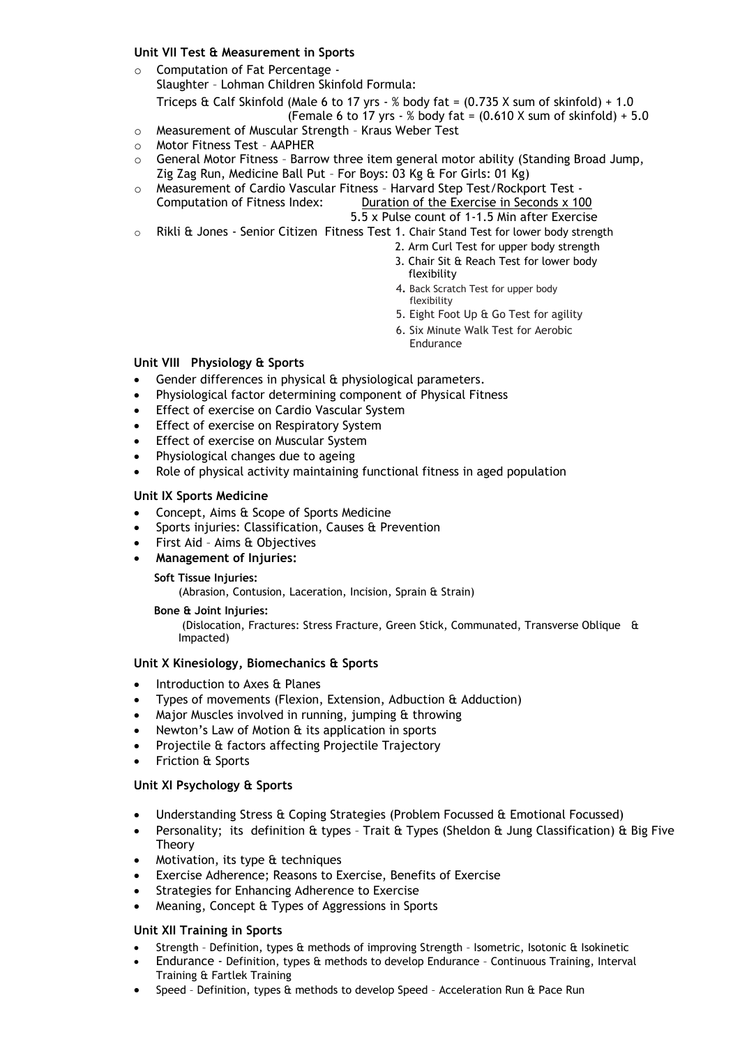## **Unit VII Test & Measurement in Sports**

- o Computation of Fat Percentage Slaughter – Lohman Children Skinfold Formula: Triceps & Calf Skinfold (Male 6 to 17 yrs - % body fat =  $(0.735 \text{ X sum of skinfold}) + 1.0$ (Female 6 to 17 yrs - % body fat =  $(0.610 \text{ X} \text{ sum of skinfold}) + 5.0$
- o Measurement of Muscular Strength Kraus Weber Test
- o Motor Fitness Test AAPHER
- $\circ$  General Motor Fitness Barrow three item general motor ability (Standing Broad Jump, Zig Zag Run, Medicine Ball Put – For Boys: 03 Kg & For Girls: 01 Kg)
- o Measurement of Cardio Vascular Fitness Harvard Step Test/Rockport Test Computation of Fitness Index: Duration of the Exercise in Seconds x 100
	- 5.5 x Pulse count of 1-1.5 Min after Exercise
- o Rikli & Jones Senior Citizen Fitness Test 1. Chair Stand Test for lower body strength
	- 2. Arm Curl Test for upper body strength
		- 3. Chair Sit & Reach Test for lower body flexibility
		- 4**.** Back Scratch Test for upper body flexibility
		- 5. Eight Foot Up & Go Test for agility
		- 6. Six Minute Walk Test for Aerobic Endurance

## **Unit VIII Physiology & Sports**

- Gender differences in physical & physiological parameters.
- Physiological factor determining component of Physical Fitness
- Effect of exercise on Cardio Vascular System
- Effect of exercise on Respiratory System
- Effect of exercise on Muscular System
- Physiological changes due to ageing
- Role of physical activity maintaining functional fitness in aged population

## **Unit IX Sports Medicine**

- Concept, Aims & Scope of Sports Medicine
- Sports injuries: Classification, Causes & Prevention
- First Aid Aims & Objectives
- **Management of Injuries:**

## **Soft Tissue Injuries:**

(Abrasion, Contusion, Laceration, Incision, Sprain & Strain)

## **Bone & Joint Injuries:**

(Dislocation, Fractures: Stress Fracture, Green Stick, Communated, Transverse Oblique & Impacted)

## **Unit X Kinesiology, Biomechanics & Sports**

- Introduction to Axes & Planes
- Types of movements (Flexion, Extension, Adbuction & Adduction)
- Major Muscles involved in running, jumping & throwing
- Newton's Law of Motion & its application in sports
- Projectile & factors affecting Projectile Trajectory
- Friction & Sports

## **Unit XI Psychology & Sports**

- Understanding Stress & Coping Strategies (Problem Focussed & Emotional Focussed)
- Personality; its definition & types Trait & Types (Sheldon & Jung Classification) & Big Five Theory
- Motivation, its type & techniques
- Exercise Adherence; Reasons to Exercise, Benefits of Exercise
- Strategies for Enhancing Adherence to Exercise
- Meaning, Concept & Types of Aggressions in Sports

## **Unit XII Training in Sports**

- Strength Definition, types & methods of improving Strength Isometric, Isotonic & Isokinetic
- Endurance Definition, types & methods to develop Endurance Continuous Training, Interval Training & Fartlek Training
- Speed Definition, types & methods to develop Speed Acceleration Run & Pace Run